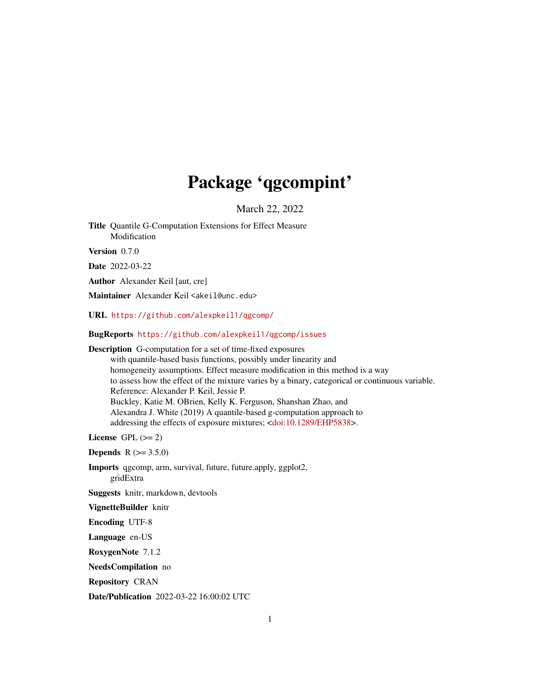# Package 'qgcompint'

March 22, 2022

<span id="page-0-0"></span>Title Quantile G-Computation Extensions for Effect Measure Modification

Version 0.7.0

Date 2022-03-22

Author Alexander Keil [aut, cre]

Maintainer Alexander Keil <akeil@unc.edu>

URL <https://github.com/alexpkeil1/qgcomp/>

# BugReports <https://github.com/alexpkeil1/qgcomp/issues>

Description G-computation for a set of time-fixed exposures

with quantile-based basis functions, possibly under linearity and homogeneity assumptions. Effect measure modification in this method is a way to assess how the effect of the mixture varies by a binary, categorical or continuous variable. Reference: Alexander P. Keil, Jessie P. Buckley, Katie M. OBrien, Kelly K. Ferguson, Shanshan Zhao, and Alexandra J. White (2019) A quantile-based g-computation approach to addressing the effects of exposure mixtures; [<doi:10.1289/EHP5838>](https://doi.org/10.1289/EHP5838).

License GPL  $(>= 2)$ 

**Depends**  $R (= 3.5.0)$ 

Imports qgcomp, arm, survival, future, future.apply, ggplot2, gridExtra

Suggests knitr, markdown, devtools

VignetteBuilder knitr

Encoding UTF-8

Language en-US

RoxygenNote 7.1.2

NeedsCompilation no

Repository CRAN

Date/Publication 2022-03-22 16:00:02 UTC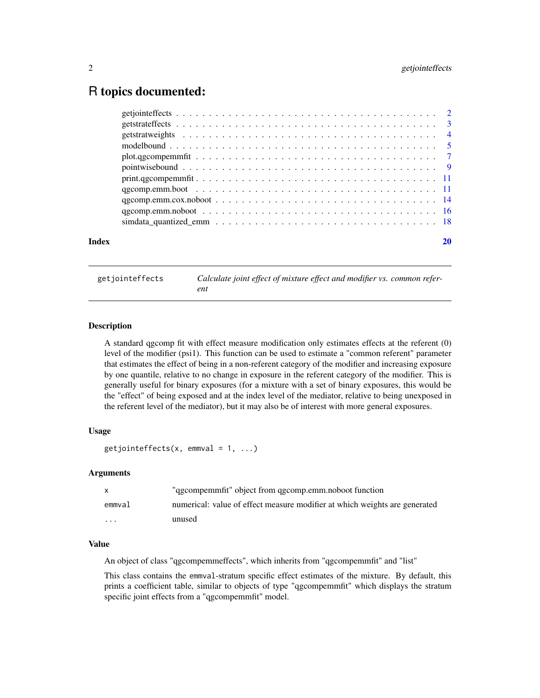# <span id="page-1-0"></span>R topics documented:

| Index |  |
|-------|--|
|       |  |
|       |  |
|       |  |
|       |  |
|       |  |
|       |  |
|       |  |
|       |  |
|       |  |
|       |  |
|       |  |

getjointeffects *Calculate joint effect of mixture effect and modifier vs. common referent*

# Description

A standard qgcomp fit with effect measure modification only estimates effects at the referent (0) level of the modifier (psi1). This function can be used to estimate a "common referent" parameter that estimates the effect of being in a non-referent category of the modifier and increasing exposure by one quantile, relative to no change in exposure in the referent category of the modifier. This is generally useful for binary exposures (for a mixture with a set of binary exposures, this would be the "effect" of being exposed and at the index level of the mediator, relative to being unexposed in the referent level of the mediator), but it may also be of interest with more general exposures.

# Usage

```
getjointeffects(x, emmval = 1, ...)
```
#### Arguments

|          | "qgcompemmfit" object from qgcomp.emm.noboot function                      |
|----------|----------------------------------------------------------------------------|
| emmval   | numerical: value of effect measure modifier at which weights are generated |
| $\cdots$ | unused                                                                     |

#### Value

An object of class "qgcompemmeffects", which inherits from "qgcompemmfit" and "list"

This class contains the emmval-stratum specific effect estimates of the mixture. By default, this prints a coefficient table, similar to objects of type "qgcompemmfit" which displays the stratum specific joint effects from a "qgcompemmfit" model.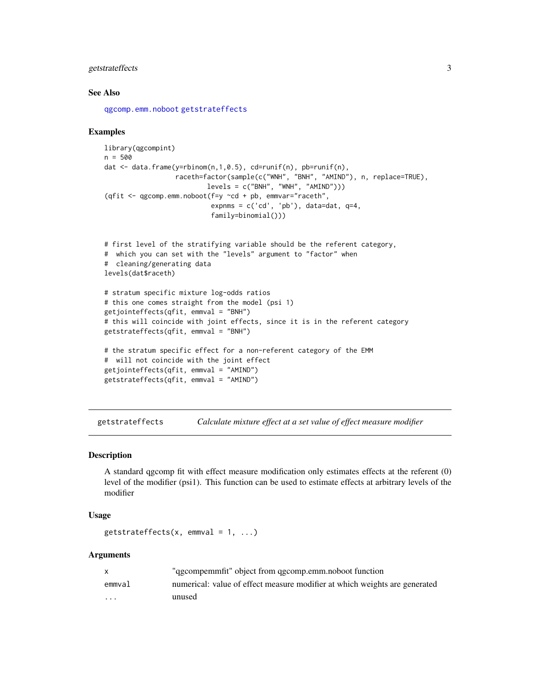# <span id="page-2-0"></span>getstrateffects 3

#### See Also

[qgcomp.emm.noboot](#page-15-1) [getstrateffects](#page-2-1)

#### Examples

```
library(qgcompint)
n = 500dat <- data.frame(y=rbinom(n,1,0.5), cd=runif(n), pb=runif(n),
                  raceth=factor(sample(c("WNH", "BNH", "AMIND"), n, replace=TRUE),
                          levels = c("BNH", "WNH", "AMIND"))(qfit \leq qgcomp.emm.noboot(f=y \simcd + pb, emmvar="raceth",
                           expnms = c('cd', 'pb'), data=dat, q=4,family=binomial()))
```

```
# first level of the stratifying variable should be the referent category,
# which you can set with the "levels" argument to "factor" when
# cleaning/generating data
levels(dat$raceth)
```

```
# stratum specific mixture log-odds ratios
# this one comes straight from the model (psi 1)
getjointeffects(qfit, emmval = "BNH")
# this will coincide with joint effects, since it is in the referent category
getstrateffects(qfit, emmval = "BNH")
```

```
# the stratum specific effect for a non-referent category of the EMM
# will not coincide with the joint effect
getjointeffects(qfit, emmval = "AMIND")
getstrateffects(qfit, emmval = "AMIND")
```
<span id="page-2-1"></span>getstrateffects *Calculate mixture effect at a set value of effect measure modifier*

#### Description

A standard qgcomp fit with effect measure modification only estimates effects at the referent (0) level of the modifier (psi1). This function can be used to estimate effects at arbitrary levels of the modifier

#### Usage

```
getstrateffects(x, emmval = 1, ...)
```

|          | "qgcompemmfit" object from qgcomp.emm.noboot function                      |
|----------|----------------------------------------------------------------------------|
| emmval   | numerical: value of effect measure modifier at which weights are generated |
| $\cdots$ | unused                                                                     |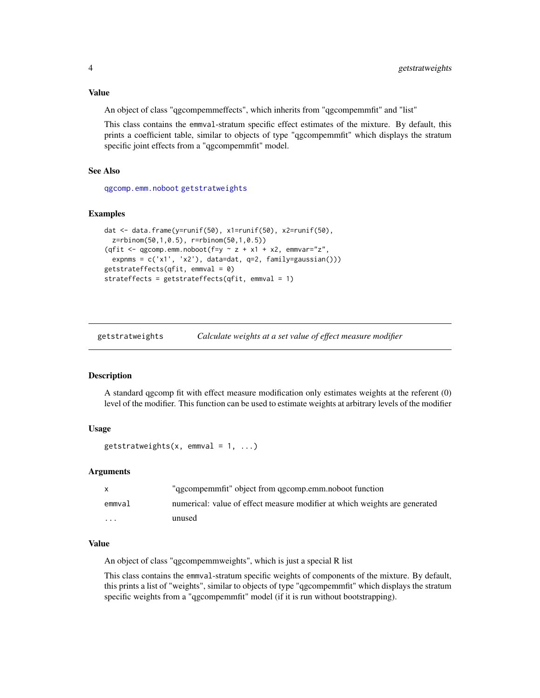<span id="page-3-0"></span>An object of class "qgcompemmeffects", which inherits from "qgcompemmfit" and "list"

This class contains the emmval-stratum specific effect estimates of the mixture. By default, this prints a coefficient table, similar to objects of type "qgcompemmfit" which displays the stratum specific joint effects from a "qgcompemmfit" model.

# See Also

[qgcomp.emm.noboot](#page-15-1) [getstratweights](#page-3-1)

#### Examples

```
dat <- data.frame(y=runif(50), x1=runif(50), x2=runif(50),
 z=rbinom(50,1,0.5), r=rbinom(50,1,0.5))
(qfit <- qgcomp.emm.noboot(f=y \sim z + x1 + x2, emmvar="z",
 expnms = c('x1', 'x2'), data=dat, q=2, family=gaussian()))
getstrateffects(qfit, emmval = 0)
strateffects = getstrateffects(qfit, emmval = 1)
```
<span id="page-3-1"></span>

| getstratweights | Calculate weights at a set value of effect measure modifier |  |
|-----------------|-------------------------------------------------------------|--|
|                 |                                                             |  |

#### **Description**

A standard qgcomp fit with effect measure modification only estimates weights at the referent (0) level of the modifier. This function can be used to estimate weights at arbitrary levels of the modifier

#### Usage

```
getstratweights(x, emmval = 1, ...)
```
#### Arguments

| $\mathsf{x}$ | "ggcompemmfit" object from qgcomp.emm.noboot function                      |
|--------------|----------------------------------------------------------------------------|
| emmval       | numerical: value of effect measure modifier at which weights are generated |
| $\cdot$      | unused                                                                     |

#### Value

An object of class "qgcompemmweights", which is just a special R list

This class contains the emmval-stratum specific weights of components of the mixture. By default, this prints a list of "weights", similar to objects of type "qgcompemmfit" which displays the stratum specific weights from a "qgcompemmfit" model (if it is run without bootstrapping).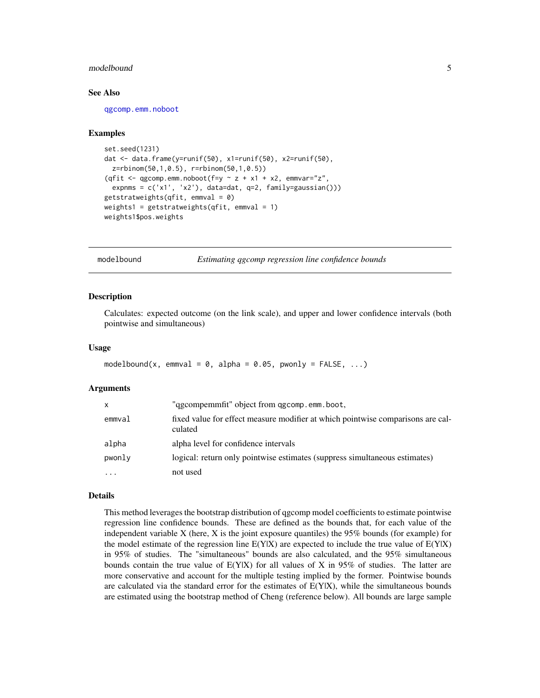#### <span id="page-4-0"></span>modelbound 55 and 55 and 55 and 55 and 55 and 55 and 55 and 55 and 55 and 55 and 55 and 55 and 55 and 55 and 55 and 55 and 55 and 55 and 55 and 55 and 55 and 55 and 55 and 55 and 55 and 55 and 55 and 55 and 55 and 55 and 5

#### See Also

[qgcomp.emm.noboot](#page-15-1)

#### Examples

```
set.seed(1231)
dat <- data.frame(y=runif(50), x1=runif(50), x2=runif(50),
 z=rbinom(50,1,0.5), r=rbinom(50,1,0.5))
(qfit \leq qgcomp.emm.noboot(f=y \sim z + x1 + x2, emmvar="z",
 expnms = c('x1', 'x2'), data=dat, q=2, family=gaussian()))
getstratweights(qfit, emmval = 0)
weights1 = getstratweights(qfit, emmval = 1)
weights1$pos.weights
```
modelbound *Estimating qgcomp regression line confidence bounds*

#### Description

Calculates: expected outcome (on the link scale), and upper and lower confidence intervals (both pointwise and simultaneous)

#### Usage

```
modelbound(x, emmval = 0, alpha = 0.05, pwonly = FALSE, \ldots)
```
#### Arguments

| X        | "ggcompemmfit" object from qgcomp.emm.boot,                                                |
|----------|--------------------------------------------------------------------------------------------|
| emmval   | fixed value for effect measure modifier at which pointwise comparisons are cal-<br>culated |
| alpha    | alpha level for confidence intervals                                                       |
| pwonly   | logical: return only pointwise estimates (suppress simultaneous estimates)                 |
| $\cdots$ | not used                                                                                   |

#### Details

This method leverages the bootstrap distribution of qgcomp model coefficients to estimate pointwise regression line confidence bounds. These are defined as the bounds that, for each value of the independent variable X (here, X is the joint exposure quantiles) the 95% bounds (for example) for the model estimate of the regression line  $E(Y|X)$  are expected to include the true value of  $E(Y|X)$ in 95% of studies. The "simultaneous" bounds are also calculated, and the 95% simultaneous bounds contain the true value of  $E(Y|X)$  for all values of X in 95% of studies. The latter are more conservative and account for the multiple testing implied by the former. Pointwise bounds are calculated via the standard error for the estimates of  $E(Y|X)$ , while the simultaneous bounds are estimated using the bootstrap method of Cheng (reference below). All bounds are large sample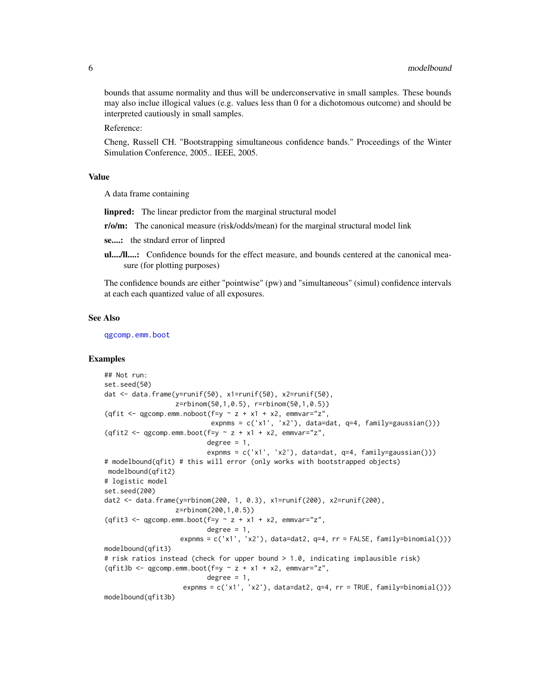<span id="page-5-0"></span>bounds that assume normality and thus will be underconservative in small samples. These bounds may also inclue illogical values (e.g. values less than 0 for a dichotomous outcome) and should be interpreted cautiously in small samples.

Reference:

Cheng, Russell CH. "Bootstrapping simultaneous confidence bands." Proceedings of the Winter Simulation Conference, 2005.. IEEE, 2005.

#### Value

A data frame containing

linpred: The linear predictor from the marginal structural model

r/o/m: The canonical measure (risk/odds/mean) for the marginal structural model link

se....: the stndard error of linpred

ul..../ll....: Confidence bounds for the effect measure, and bounds centered at the canonical measure (for plotting purposes)

The confidence bounds are either "pointwise" (pw) and "simultaneous" (simul) confidence intervals at each each quantized value of all exposures.

#### See Also

[qgcomp.emm.boot](#page-10-1)

```
## Not run:
set.seed(50)
dat <- data.frame(y=runif(50), x1=runif(50), x2=runif(50),
                  z=rbinom(50,1,0.5), r=rbinom(50,1,0.5))
(qfit \leq qgcomp.emm.noboot(f=y \sim z + x1 + x2, emmvar="z",
                           expnms = c('x1', 'x2'), data=dat, q=4, family=gaussian()))
(qfit2 <- qgcomp.emm.boot(f=y \sim z + x1 + x2, emmvar="z",
                          degree = 1,
                          expnms = c('x1', 'x2'), data=dat, q=4, family=gaussian()))
# modelbound(qfit) # this will error (only works with bootstrapped objects)
modelbound(qfit2)
# logistic model
set.seed(200)
dat2 <- data.frame(y=rbinom(200, 1, 0.3), x1=runif(200), x2=runif(200),
                  z=rbinom(200,1,0.5))
(qfit3 <- qgcomp.emm.boot(f=y \sim z + x1 + x2, emmvar="z",
                          degree = 1,
                   expnms = c('x1', 'x2'), data=data2, q=4, rr = FALSE, family=binomial())modelbound(qfit3)
# risk ratios instead (check for upper bound > 1.0, indicating implausible risk)
(qfit3b \leq qgcomp.emm.boot(f=y \sim z + x1 + x2, emmvar="z",
                          degree = 1,
                    expnms = c('x1', 'x2'), data=data2, q=4, rr = TRUE, family=binomial())modelbound(qfit3b)
```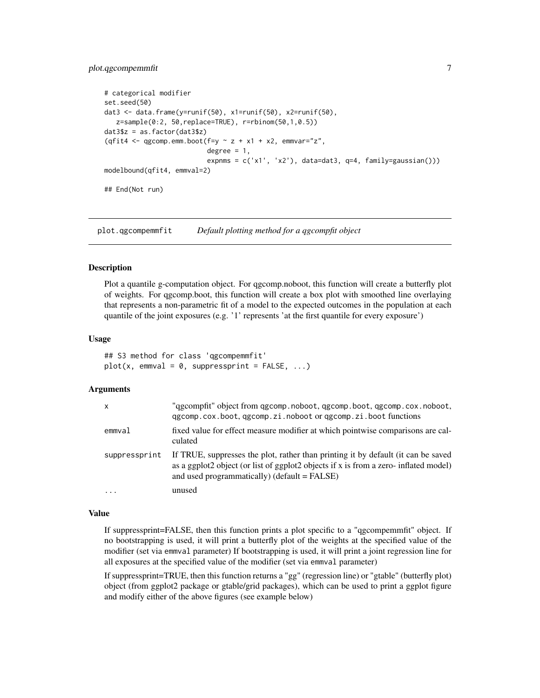# <span id="page-6-0"></span>plot.ggcompemmfit 7

```
# categorical modifier
set.seed(50)
dat3 <- data.frame(y=runif(50), x1=runif(50), x2=runif(50),
   z=sample(0:2, 50,replace=TRUE), r=rbinom(50,1,0.5))
dat3$z = as.factor(data3$z)(qfit4 <- qgcomp.emm.boot(f=y \sim z + x1 + x2, emmvar="z",
                          degree = 1,
                          expnms = c('x1', 'x2'), data=dat3, q=4, family=gaussian()))
modelbound(qfit4, emmval=2)
## End(Not run)
```
plot.qgcompemmfit *Default plotting method for a qgcompfit object*

#### **Description**

Plot a quantile g-computation object. For qgcomp.noboot, this function will create a butterfly plot of weights. For qgcomp.boot, this function will create a box plot with smoothed line overlaying that represents a non-parametric fit of a model to the expected outcomes in the population at each quantile of the joint exposures (e.g. '1' represents 'at the first quantile for every exposure')

#### Usage

```
## S3 method for class 'qgcompemmfit'
plot(x, emmval = 0, suppressprint = FALSE, ...)
```
#### **Arguments**

| $\mathsf{x}$  | "ggcompfit" object from ggcomp.noboot, ggcomp.boot, ggcomp.cox.noboot,<br>ggcomp.cox.boot, ggcomp.zi.noboot or ggcomp.zi.boot functions                                                                                       |
|---------------|-------------------------------------------------------------------------------------------------------------------------------------------------------------------------------------------------------------------------------|
| emmval        | fixed value for effect measure modifier at which pointwise comparisons are cal-<br>culated                                                                                                                                    |
| suppressprint | If TRUE, suppresses the plot, rather than printing it by default (it can be saved<br>as a ggplot2 object (or list of ggplot2 objects if x is from a zero- inflated model)<br>and used programmatically) ( $default = FALSE$ ) |
| $\cdot$       | unused                                                                                                                                                                                                                        |

#### Value

If suppressprint=FALSE, then this function prints a plot specific to a "qgcompemmfit" object. If no bootstrapping is used, it will print a butterfly plot of the weights at the specified value of the modifier (set via emmval parameter) If bootstrapping is used, it will print a joint regression line for all exposures at the specified value of the modifier (set via emmval parameter)

If suppressprint=TRUE, then this function returns a "gg" (regression line) or "gtable" (butterfly plot) object (from ggplot2 package or gtable/grid packages), which can be used to print a ggplot figure and modify either of the above figures (see example below)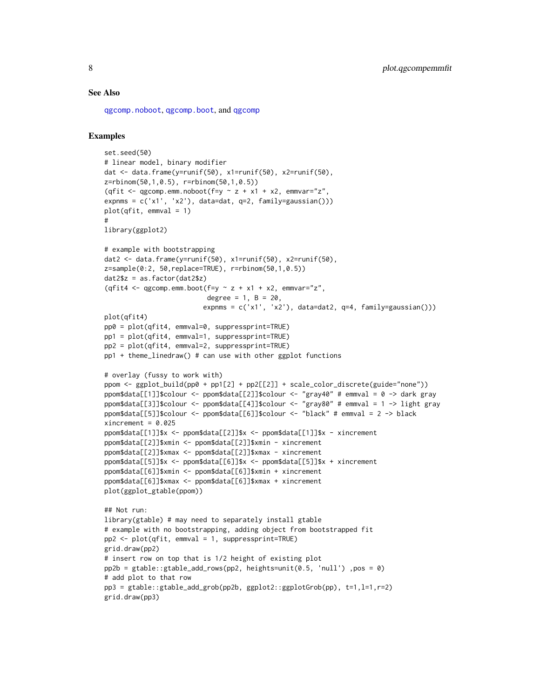#### <span id="page-7-0"></span>See Also

[qgcomp.noboot](#page-0-0), [qgcomp.boot](#page-0-0), and [qgcomp](#page-0-0)

```
set.seed(50)
# linear model, binary modifier
dat <- data.frame(y=runif(50), x1=runif(50), x2=runif(50),
z=rbinom(50,1,0.5), r=rbinom(50,1,0.5))
(qfit \leq qgcomp.emm.noboot(f=y \sim z + x1 + x2, emmvar="z",
expnms = c('x1', 'x2'), data=dat, q=2, family=gaussian()))
plot(qfit, emmval = 1)
#
library(ggplot2)
# example with bootstrapping
dat2 <- data.frame(y=runif(50), x1=runif(50), x2=runif(50),
z=sample(0:2, 50,replace=TRUE), r=rbinom(50,1,0.5))
dat2$z = as.factor(dat2$z)
(qfit4 <- qgcomp.emm.boot(f=y \sim z + x1 + x2, emmvar="z",
                          degree = 1, B = 20,expnms = c('x1', 'x2'), data=dat2, q=4, family=gaussian()))
plot(qfit4)
pp0 = plot(qfit4, emmval=0, suppressprint=TRUE)
pp1 = plot(qfit4, emmval=1, suppressprint=TRUE)
pp2 = plot(qfit4, emmval=2, suppressprint=TRUE)
pp1 + theme_linedraw() # can use with other ggplot functions
# overlay (fussy to work with)
ppom <- ggplot_build(pp0 + pp1[2] + pp2[[2]] + scale_color_discrete(guide="none"))
ppom$data[[1]]$colour <- ppom$data[[2]]$colour <- "gray40" # emmval = 0 -> dark gray
ppom$data[[3]]$colour <- ppom$data[[4]]$colour <- "gray80" # emmval = 1 -> light gray
ppom$data[[5]]$colour <- ppom$data[[6]]$colour <- "black" # emmval = 2 -> black
xincrement = <math>0.025</math>ppom$data[[1]]$x <- ppom$data[[2]]$x <- ppom$data[[1]]$x - xincrement
ppom$data[[2]]$xmin <- ppom$data[[2]]$xmin - xincrement
ppom$data[[2]]$xmax <- ppom$data[[2]]$xmax - xincrement
ppom$data[[5]]$x <- ppom$data[[6]]$x <- ppom$data[[5]]$x + xincrement
ppom$data[[6]]$xmin <- ppom$data[[6]]$xmin + xincrement
ppom$data[[6]]$xmax <- ppom$data[[6]]$xmax + xincrement
plot(ggplot_gtable(ppom))
## Not run:
library(gtable) # may need to separately install gtable
# example with no bootstrapping, adding object from bootstrapped fit
pp2 \leq plot(qfit, emmval = 1, suppressprint=True)grid.draw(pp2)
# insert row on top that is 1/2 height of existing plot
pp2b = gtable::gtable_add_rows(pp2, heights=unit(0.5, 'null') ,pos = 0)
# add plot to that row
pp3 = gtable::gtable\_add\_grob(pp2b, ggplot2::ggplotGrobb(pp), t=1, l=1, r=2)grid.draw(pp3)
```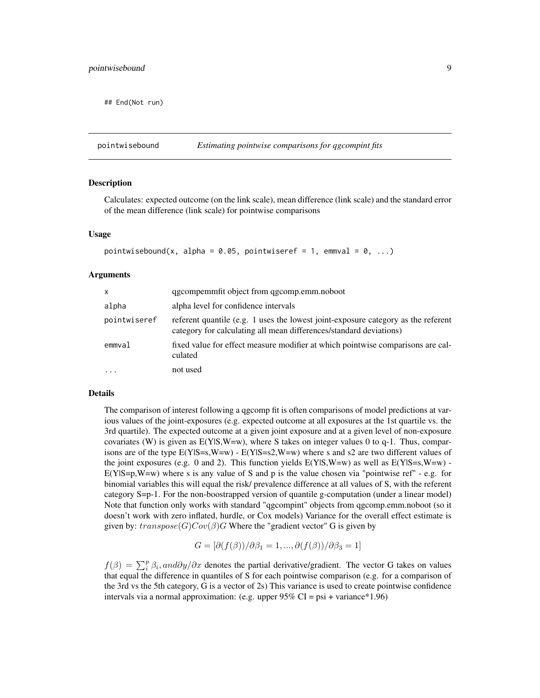<span id="page-8-0"></span>## End(Not run)

### Description

Calculates: expected outcome (on the link scale), mean difference (link scale) and the standard error of the mean difference (link scale) for pointwise comparisons

#### Usage

```
pointwisebound(x, alpha = 0.05, pointwiseref = 1, emmval = 0, ...)
```
#### Arguments

| $\mathsf{x}$ | qgcompemmfit object from qgcomp.emm.noboot                                                                                                              |
|--------------|---------------------------------------------------------------------------------------------------------------------------------------------------------|
| alpha        | alpha level for confidence intervals                                                                                                                    |
| pointwiseref | referent quantile (e.g. 1 uses the lowest joint-exposure category as the referent<br>category for calculating all mean differences/standard deviations) |
| emmval       | fixed value for effect measure modifier at which pointwise comparisons are cal-<br>culated                                                              |
|              | not used                                                                                                                                                |

### Details

The comparison of interest following a qgcomp fit is often comparisons of model predictions at various values of the joint-exposures (e.g. expected outcome at all exposures at the 1st quartile vs. the 3rd quartile). The expected outcome at a given joint exposure and at a given level of non-exposure covariates (W) is given as  $E(Y|S,W=w)$ , where S takes on integer values 0 to q-1. Thus, comparisons are of the type  $E(Y|S=s,W=w)$  -  $E(Y|S=s2,W=w)$  where s and s2 are two different values of the joint exposures (e.g. 0 and 2). This function yields  $E(Y|S,W=w)$  as well as  $E(Y|S=s,W=w)$ .  $E(Y|S=p,W=w)$  where s is any value of S and p is the value chosen via "pointwise ref" - e.g. for binomial variables this will equal the risk/ prevalence difference at all values of S, with the referent category S=p-1. For the non-boostrapped version of quantile g-computation (under a linear model) Note that function only works with standard "qgcompint" objects from qgcomp.emm.noboot (so it doesn't work with zero inflated, hurdle, or Cox models) Variance for the overall effect estimate is given by:  $transpose(G)Cov(\beta)G$  Where the "gradient vector" G is given by

$$
G = [\partial(f(\beta))/\partial \beta_1 = 1, ..., \partial(f(\beta))/\partial \beta_3 = 1]
$$

 $f(\beta) = \sum_{i}^{p} \beta_i$ , and∂y/∂x denotes the partial derivative/gradient. The vector G takes on values that equal the difference in quantiles of S for each pointwise comparison (e.g. for a comparison of the 3rd vs the 5th category, G is a vector of 2s) This variance is used to create pointwise confidence intervals via a normal approximation: (e.g. upper  $95\%$  CI = psi + variance\*1.96)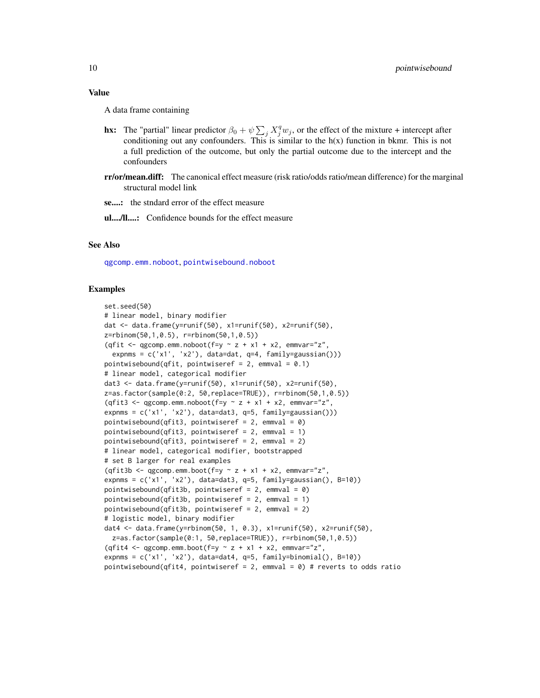<span id="page-9-0"></span>A data frame containing

- **hx:** The "partial" linear predictor  $\beta_0 + \psi \sum_j X_j^q w_j$ , or the effect of the mixture + intercept after conditioning out any confounders. This is similar to the  $h(x)$  function in bkmr. This is not a full prediction of the outcome, but only the partial outcome due to the intercept and the confounders
- rr/or/mean.diff: The canonical effect measure (risk ratio/odds ratio/mean difference) for the marginal structural model link

se....: the stndard error of the effect measure

ul..../ll....: Confidence bounds for the effect measure

# See Also

[qgcomp.emm.noboot](#page-15-1), [pointwisebound.noboot](#page-0-0)

```
set.seed(50)
# linear model, binary modifier
dat <- data.frame(y=runif(50), x1=runif(50), x2=runif(50),
z=rbinom(50,1,0.5), r=rbinom(50,1,0.5))
(qfit \leq qgcomp.emm.noboot(f=y \sim z + x1 + x2, emmvar="z",
 expnms = c('x1', 'x2'), data=dat, q=4, family=gaussian()))
pointwisebound(qfit, pointwiseref = 2, emmval = 0.1)
# linear model, categorical modifier
dat3 <- data.frame(y=runif(50), x1=runif(50), x2=runif(50),
z=as.factor(sample(0:2, 50,replace=TRUE)), r=rbinom(50,1,0.5))
(qfit3 <- qgcomp.emm.noboot(f=y \sim z + x1 + x2, emmvar="z",
expnms = c('x1', 'x2'), data=dat3, q=5, family=gaussian()))
pointwisebound(qfit3, pointwiseref = 2, emmval = 0)
pointwisebound(qfit3, pointwiseref = 2, emmval = 1)
pointwisebound(qfit3, pointwiseref = 2, emmval = 2)
# linear model, categorical modifier, bootstrapped
# set B larger for real examples
(qfit3b \leq qgcomp.emm.boot(f=y \sim z + x1 + x2,emmvar="z",
expnms = c('x1', 'x2'), data=dat3, q=5, family=gaussian(), B=10))
pointwisebound(qfit3b, pointwiseref = 2, emmval = 0)
pointwisebound(qfit3b, pointwiseref = 2, emmval = 1)
pointwisebound(qfit3b, pointwiseref = 2, emmval = 2)
# logistic model, binary modifier
dat4 <- data.frame(y=rbinom(50, 1, 0.3), x1=runif(50), x2=runif(50),
 z=as.factor(sample(0:1, 50,replace=TRUE)), r=rbinom(50,1,0.5))
(qfit4 <- qgcomp.emm.boot(f=y \sim z + x1 + x2, emmvar="z",
expnms = c('x1', 'x2'), data=data+4, q=5, family=binomial(), B=10)pointwisebound(qfit4, pointwiseref = 2, emmval = 0) # reverts to odds ratio
```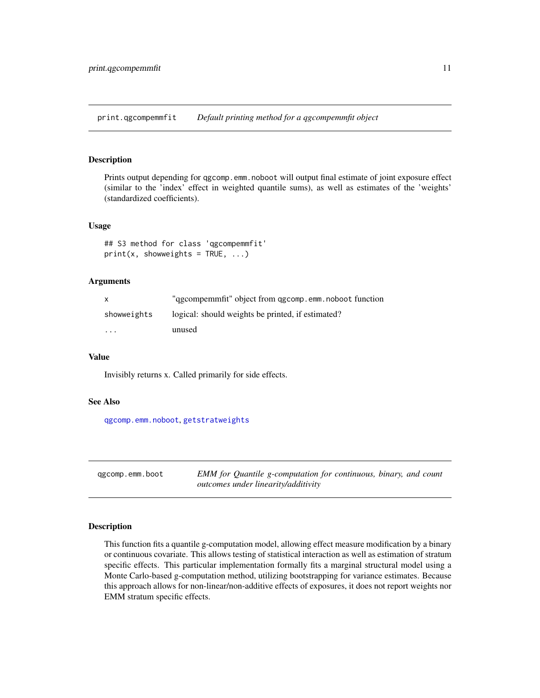<span id="page-10-0"></span>print.qgcompemmfit *Default printing method for a qgcompemmfit object*

# Description

Prints output depending for qgcomp.emm.noboot will output final estimate of joint exposure effect (similar to the 'index' effect in weighted quantile sums), as well as estimates of the 'weights' (standardized coefficients).

#### Usage

## S3 method for class 'qgcompemmfit'  $print(x, showweights = TRUE, ...)$ 

#### Arguments

| $\mathsf{x}$            | "ggcompemmfit" object from qgcomp.emm.noboot function |
|-------------------------|-------------------------------------------------------|
| showweights             | logical: should weights be printed, if estimated?     |
| $\cdot$ $\cdot$ $\cdot$ | unused                                                |

#### Value

Invisibly returns x. Called primarily for side effects.

#### See Also

[qgcomp.emm.noboot](#page-15-1), [getstratweights](#page-3-1)

<span id="page-10-1"></span>qgcomp.emm.boot *EMM for Quantile g-computation for continuous, binary, and count outcomes under linearity/additivity*

#### Description

This function fits a quantile g-computation model, allowing effect measure modification by a binary or continuous covariate. This allows testing of statistical interaction as well as estimation of stratum specific effects. This particular implementation formally fits a marginal structural model using a Monte Carlo-based g-computation method, utilizing bootstrapping for variance estimates. Because this approach allows for non-linear/non-additive effects of exposures, it does not report weights nor EMM stratum specific effects.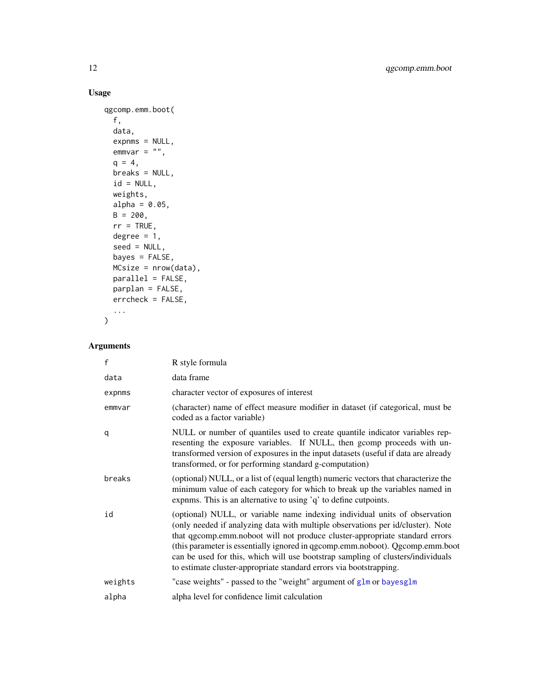# Usage

```
qgcomp.emm.boot(
 f,
 data,
 expnms = NULL,
 emmvar = "",q = 4,breaks = NULL,
 id = NULL,weights,
 alpha = 0.05,
 B = 200,rr = TRUE,degree = 1,
 seed = NULL,
 bayes = FALSE,
 MCsize = nrow(data),
 parallel = FALSE,
 parplan = FALSE,
 errcheck = FALSE,
  ...
\mathcal{L}
```

| f       | R style formula                                                                                                                                                                                                                                                                                                                                                                                                                                                                        |
|---------|----------------------------------------------------------------------------------------------------------------------------------------------------------------------------------------------------------------------------------------------------------------------------------------------------------------------------------------------------------------------------------------------------------------------------------------------------------------------------------------|
| data    | data frame                                                                                                                                                                                                                                                                                                                                                                                                                                                                             |
| expnms  | character vector of exposures of interest                                                                                                                                                                                                                                                                                                                                                                                                                                              |
| emmvar  | (character) name of effect measure modifier in dataset (if categorical, must be<br>coded as a factor variable)                                                                                                                                                                                                                                                                                                                                                                         |
| q       | NULL or number of quantiles used to create quantile indicator variables rep-<br>resenting the exposure variables. If NULL, then gcomp proceeds with un-<br>transformed version of exposures in the input datasets (useful if data are already<br>transformed, or for performing standard g-computation)                                                                                                                                                                                |
| breaks  | (optional) NULL, or a list of (equal length) numeric vectors that characterize the<br>minimum value of each category for which to break up the variables named in<br>expnms. This is an alternative to using 'q' to define cutpoints.                                                                                                                                                                                                                                                  |
| id      | (optional) NULL, or variable name indexing individual units of observation<br>(only needed if analyzing data with multiple observations per id/cluster). Note<br>that qgcomp.emm.noboot will not produce cluster-appropriate standard errors<br>(this parameter is essentially ignored in qgcomp.emm.noboot). Qgcomp.emm.boot<br>can be used for this, which will use bootstrap sampling of clusters/individuals<br>to estimate cluster-appropriate standard errors via bootstrapping. |
| weights | "case weights" - passed to the "weight" argument of glm or bayesglm                                                                                                                                                                                                                                                                                                                                                                                                                    |
| alpha   | alpha level for confidence limit calculation                                                                                                                                                                                                                                                                                                                                                                                                                                           |

<span id="page-11-0"></span>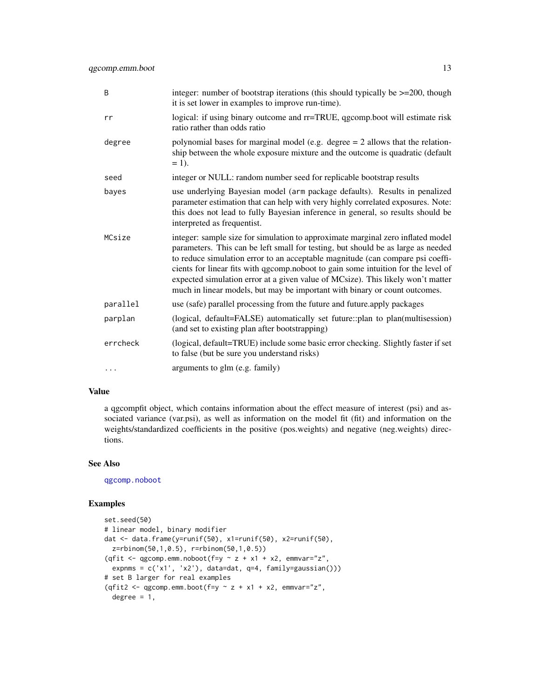<span id="page-12-0"></span>

| B        | integer: number of bootstrap iterations (this should typically be $\geq$ =200, though<br>it is set lower in examples to improve run-time).                                                                                                                                                                                                                                                                                                                                                                  |
|----------|-------------------------------------------------------------------------------------------------------------------------------------------------------------------------------------------------------------------------------------------------------------------------------------------------------------------------------------------------------------------------------------------------------------------------------------------------------------------------------------------------------------|
| rr       | logical: if using binary outcome and rr=TRUE, qgcomp.boot will estimate risk<br>ratio rather than odds ratio                                                                                                                                                                                                                                                                                                                                                                                                |
| degree   | polynomial bases for marginal model (e.g. degree $= 2$ allows that the relation-<br>ship between the whole exposure mixture and the outcome is quadratic (default<br>$= 1$ .                                                                                                                                                                                                                                                                                                                                |
| seed     | integer or NULL: random number seed for replicable bootstrap results                                                                                                                                                                                                                                                                                                                                                                                                                                        |
| bayes    | use underlying Bayesian model (arm package defaults). Results in penalized<br>parameter estimation that can help with very highly correlated exposures. Note:<br>this does not lead to fully Bayesian inference in general, so results should be<br>interpreted as frequentist.                                                                                                                                                                                                                             |
| MCsize   | integer: sample size for simulation to approximate marginal zero inflated model<br>parameters. This can be left small for testing, but should be as large as needed<br>to reduce simulation error to an acceptable magnitude (can compare psi coeffi-<br>cients for linear fits with qgcomp.noboot to gain some intuition for the level of<br>expected simulation error at a given value of MCsize). This likely won't matter<br>much in linear models, but may be important with binary or count outcomes. |
| parallel | use (safe) parallel processing from the future and future.apply packages                                                                                                                                                                                                                                                                                                                                                                                                                                    |
| parplan  | (logical, default=FALSE) automatically set future::plan to plan(multisession)<br>(and set to existing plan after bootstrapping)                                                                                                                                                                                                                                                                                                                                                                             |
| errcheck | (logical, default=TRUE) include some basic error checking. Slightly faster if set<br>to false (but be sure you understand risks)                                                                                                                                                                                                                                                                                                                                                                            |
| $\cdots$ | arguments to glm (e.g. family)                                                                                                                                                                                                                                                                                                                                                                                                                                                                              |

a qgcompfit object, which contains information about the effect measure of interest (psi) and associated variance (var.psi), as well as information on the model fit (fit) and information on the weights/standardized coefficients in the positive (pos.weights) and negative (neg.weights) directions.

#### See Also

[qgcomp.noboot](#page-0-0)

```
set.seed(50)
# linear model, binary modifier
dat <- data.frame(y=runif(50), x1=runif(50), x2=runif(50),
  z=rbinom(50,1,0.5), r=rbinom(50,1,0.5))
(qfit <- qgcomp.emm.noboot(f=y \sim z + x1 + x2, emmvar="z",
  expnms = c('x1', 'x2'), data=dat, q=4, family=gaussian()))
# set B larger for real examples
(qfit2 <- qgcomp.emm.boot(f=y \sim z + x1 + x2, emmvar="z",
  degree = 1,
```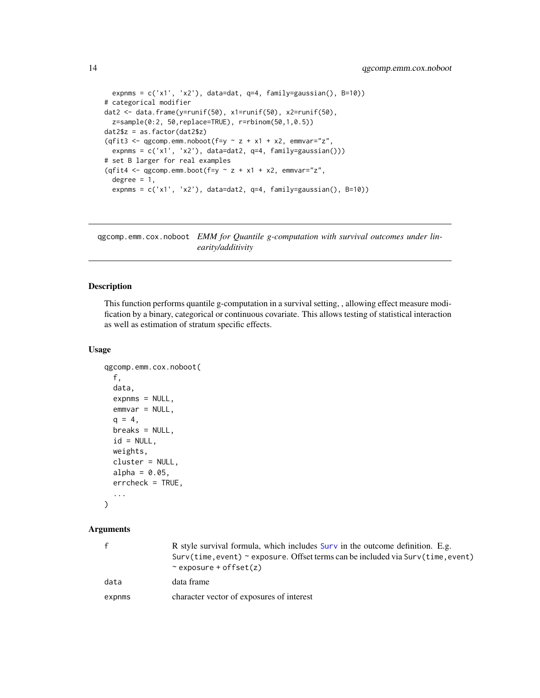```
expnms = c('x1', 'x2'), data=dat, q=4, family=gaussian(), B=10)# categorical modifier
dat2 <- data.frame(y=runif(50), x1=runif(50), x2=runif(50),
  z=sample(0:2, 50,replace=TRUE), r=rbinom(50,1,0.5))
dat2$z = as.factor(dat2$z)
(qfit3 <- qgcomp.emm.noboot(f=y \sim z + x1 + x2, emmvar="z",
  expnms = c('x1', 'x2'), data=data, q=4, family=gaussian())# set B larger for real examples
(qfit4 <- qgcomp.emm.boot(f=y \sim z + x1 + x2, emmvar="z",
  degree = 1,
  expnms = c('x1', 'x2'), data=dat2, q=4, family=gaussian(), B=10))
```
qgcomp.emm.cox.noboot *EMM for Quantile g-computation with survival outcomes under linearity/additivity*

# Description

This function performs quantile g-computation in a survival setting, , allowing effect measure modification by a binary, categorical or continuous covariate. This allows testing of statistical interaction as well as estimation of stratum specific effects.

#### Usage

```
qgcomp.emm.cox.noboot(
  f,
 data,
 expnms = NULL,emmvar = NULL,
 q = 4,
 breaks = NULL,
  id = NULL,weights,
 cluster = NULL,
  alpha = 0.05,
 errcheck = TRUE,
  ...
```
# )

| $\mathsf{f}$ | R style survival formula, which includes Surv in the outcome definition. E.g.<br>Surv(time, event) $\sim$ exposure. Offset terms can be included via Surv(time, event)<br>$\sim$ exposure + offset(z) |
|--------------|-------------------------------------------------------------------------------------------------------------------------------------------------------------------------------------------------------|
| data         | data frame                                                                                                                                                                                            |
| expnms       | character vector of exposures of interest                                                                                                                                                             |

<span id="page-13-0"></span>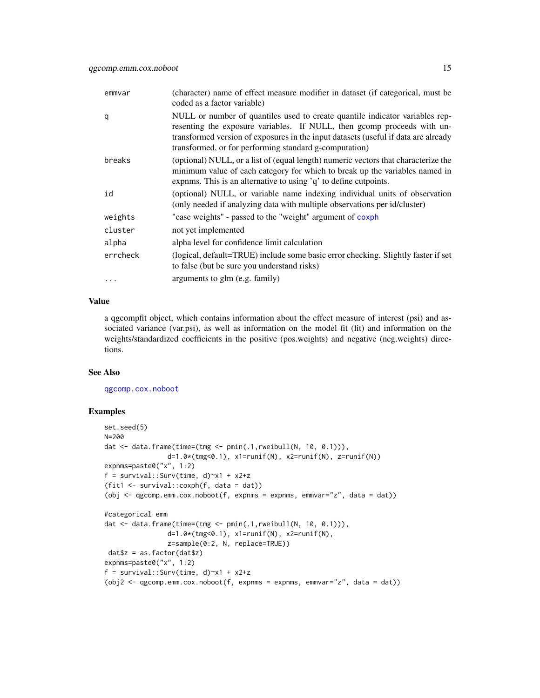<span id="page-14-0"></span>

| emmvar   | (character) name of effect measure modifier in dataset (if categorical, must be<br>coded as a factor variable)                                                                                                                                                                                          |
|----------|---------------------------------------------------------------------------------------------------------------------------------------------------------------------------------------------------------------------------------------------------------------------------------------------------------|
| q        | NULL or number of quantiles used to create quantile indicator variables rep-<br>resenting the exposure variables. If NULL, then gcomp proceeds with un-<br>transformed version of exposures in the input datasets (useful if data are already<br>transformed, or for performing standard g-computation) |
| breaks   | (optional) NULL, or a list of (equal length) numeric vectors that characterize the<br>minimum value of each category for which to break up the variables named in<br>expnms. This is an alternative to using 'q' to define cutpoints.                                                                   |
| id       | (optional) NULL, or variable name indexing individual units of observation<br>(only needed if analyzing data with multiple observations per id/cluster)                                                                                                                                                 |
| weights  | "case weights" - passed to the "weight" argument of coxph                                                                                                                                                                                                                                               |
| cluster  | not yet implemented                                                                                                                                                                                                                                                                                     |
| alpha    | alpha level for confidence limit calculation                                                                                                                                                                                                                                                            |
| errcheck | (logical, default=TRUE) include some basic error checking. Slightly faster if set<br>to false (but be sure you understand risks)                                                                                                                                                                        |
| $\cdots$ | arguments to glm (e.g. family)                                                                                                                                                                                                                                                                          |

a qgcompfit object, which contains information about the effect measure of interest (psi) and associated variance (var.psi), as well as information on the model fit (fit) and information on the weights/standardized coefficients in the positive (pos.weights) and negative (neg.weights) directions.

# See Also

[qgcomp.cox.noboot](#page-0-0)

```
set.seed(5)
N=200
dat <- data.frame(time=(tmg <- pmin(.1,rweibull(N, 10, 0.1))),
               d=1.0*(tmg<0.1), x1=runif(N), x2=runif(N), z=runif(N))
expnms=paste0("x", 1:2)
f = survival::Surv(time, d)~x1 + x2+z
(fit1 <- survival::coxph(f, data = dat))
(obj <- qgcomp.emm.cox.noboot(f, expnms = expnms, emmvar="z", data = dat))
#categorical emm
dat <- data.frame(time=(tmg <- pmin(.1,rweibull(N, 10, 0.1))),
                d=1.0*(tmg<0.1), x1=runif(N), x2=runif(N),
                z=sample(0:2, N, replace=TRUE))
dat$z = as.factor(dat$z)
expnms=paste0("x", 1:2)
f = survival::Surv(time, d)~x1 + x2+z
(obj2 <- qgcomp.emm.cox.noboot(f, expnms = expnms, emmvar="z", data = dat))
```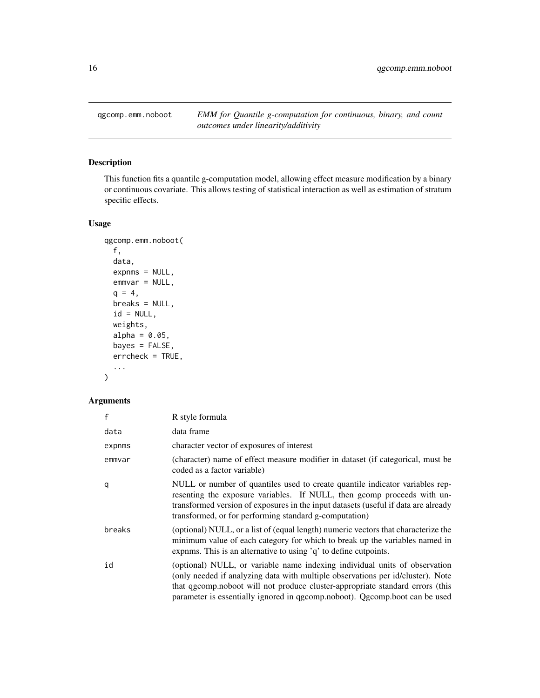<span id="page-15-1"></span><span id="page-15-0"></span>qgcomp.emm.noboot *EMM for Quantile g-computation for continuous, binary, and count outcomes under linearity/additivity*

# Description

This function fits a quantile g-computation model, allowing effect measure modification by a binary or continuous covariate. This allows testing of statistical interaction as well as estimation of stratum specific effects.

# Usage

```
qgcomp.emm.noboot(
 f,
 data,
 expnms = NULL,
 emmvar = NULL,
 q = 4,
 breaks = NULL,
 id = NULL,weights,
 alpha = 0.05,
 bayes = FALSE,
 errcheck = TRUE,
  ...
)
```

| f      | R style formula                                                                                                                                                                                                                                                                                                               |
|--------|-------------------------------------------------------------------------------------------------------------------------------------------------------------------------------------------------------------------------------------------------------------------------------------------------------------------------------|
| data   | data frame                                                                                                                                                                                                                                                                                                                    |
| expnms | character vector of exposures of interest                                                                                                                                                                                                                                                                                     |
| emmvar | (character) name of effect measure modifier in dataset (if categorical, must be<br>coded as a factor variable)                                                                                                                                                                                                                |
| q      | NULL or number of quantiles used to create quantile indicator variables rep-<br>resenting the exposure variables. If NULL, then gcomp proceeds with un-<br>transformed version of exposures in the input datasets (useful if data are already<br>transformed, or for performing standard g-computation)                       |
| breaks | (optional) NULL, or a list of (equal length) numeric vectors that characterize the<br>minimum value of each category for which to break up the variables named in<br>expnms. This is an alternative to using 'q' to define cutpoints.                                                                                         |
| id     | (optional) NULL, or variable name indexing individual units of observation<br>(only needed if analyzing data with multiple observations per id/cluster). Note<br>that qgcomp.noboot will not produce cluster-appropriate standard errors (this<br>parameter is essentially ignored in qgcomp.noboot). Qgcomp.boot can be used |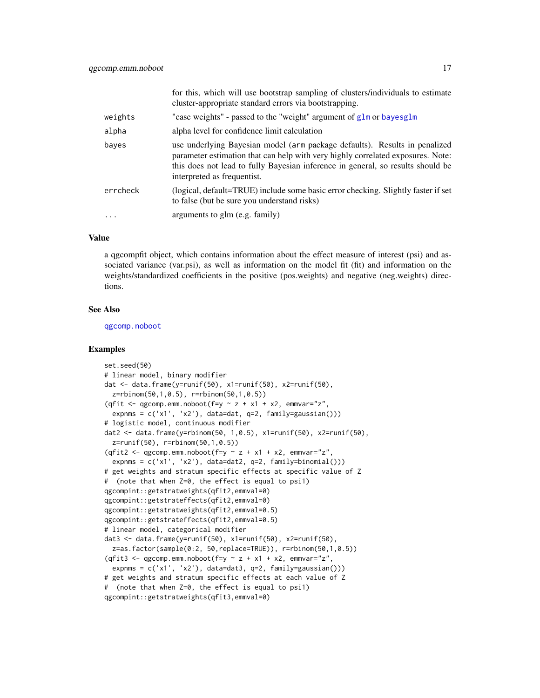<span id="page-16-0"></span>

|          | for this, which will use bootstrap sampling of clusters/individuals to estimate<br>cluster-appropriate standard errors via bootstrapping.                                                                                                                                       |
|----------|---------------------------------------------------------------------------------------------------------------------------------------------------------------------------------------------------------------------------------------------------------------------------------|
| weights  | "case weights" - passed to the "weight" argument of glm or bayesglm                                                                                                                                                                                                             |
| alpha    | alpha level for confidence limit calculation                                                                                                                                                                                                                                    |
| bayes    | use underlying Bayesian model (arm package defaults). Results in penalized<br>parameter estimation that can help with very highly correlated exposures. Note:<br>this does not lead to fully Bayesian inference in general, so results should be<br>interpreted as frequentist. |
| errcheck | (logical, default=TRUE) include some basic error checking. Slightly faster if set<br>to false (but be sure you understand risks)                                                                                                                                                |
| .        | arguments to glm (e.g. family)                                                                                                                                                                                                                                                  |

a qgcompfit object, which contains information about the effect measure of interest (psi) and associated variance (var.psi), as well as information on the model fit (fit) and information on the weights/standardized coefficients in the positive (pos.weights) and negative (neg.weights) directions.

#### See Also

[qgcomp.noboot](#page-0-0)

```
set.seed(50)
# linear model, binary modifier
dat <- data.frame(y=runif(50), x1=runif(50), x2=runif(50),
 z=rbinom(50,1,0.5), r=rbinom(50,1,0.5))
(qfit \leq qgcomp.emm.noboot(f=y \sim z + x1 + x2, emmvar="z",
  expnms = c('x1', 'x2'), data=dat, q=2, family=gaussian())# logistic model, continuous modifier
dat2 <- data.frame(y=rbinom(50, 1,0.5), x1=runif(50), x2=runif(50),
 z=runif(50), r=rbinom(50,1,0.5))
(qfit2 <- qgcomp.emm.noboot(f=y \sim z + x1 + x2, emmvar="z",
 expnms = c('x1', 'x2'), data=dat2, q=2, family=binomial()))
# get weights and stratum specific effects at specific value of Z
# (note that when Z=0, the effect is equal to psi1)
qgcompint::getstratweights(qfit2,emmval=0)
qgcompint::getstrateffects(qfit2,emmval=0)
qgcompint::getstratweights(qfit2,emmval=0.5)
qgcompint::getstrateffects(qfit2,emmval=0.5)
# linear model, categorical modifier
dat3 <- data.frame(y=runif(50), x1=runif(50), x2=runif(50),
 z=as.factor(sample(0:2, 50,replace=TRUE)), r=rbinom(50,1,0.5))
(qfit3 <- qgcomp.emm.noboot(f=y \sim z + x1 + x2, emmvar="z",
 expnms = c('x1', 'x2'), data=dat3, q=2, family=gaussian()))
# get weights and stratum specific effects at each value of Z
# (note that when Z=0, the effect is equal to psi1)
qgcompint::getstratweights(qfit3,emmval=0)
```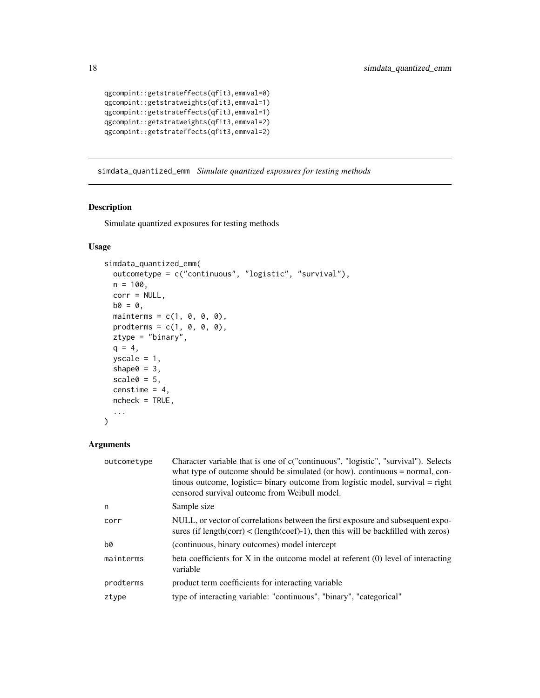```
qgcompint::getstrateffects(qfit3,emmval=0)
qgcompint::getstratweights(qfit3,emmval=1)
qgcompint::getstrateffects(qfit3,emmval=1)
qgcompint::getstratweights(qfit3,emmval=2)
qgcompint::getstrateffects(qfit3,emmval=2)
```
simdata\_quantized\_emm *Simulate quantized exposures for testing methods*

# Description

Simulate quantized exposures for testing methods

# Usage

```
simdata_quantized_emm(
  outcometype = c("continuous", "logistic", "survival"),
 n = 100,corr = NULL,
 b0 = 0,
 mainterms = c(1, 0, 0, 0),
 prodterms = c(1, 0, 0, 0),
  ztype = "binary",
 q = 4,
  yscale = 1,
  shape0 = 3,
  scale0 = 5,
  censtime = 4,
 ncheck = TRUE,
  ...
\mathcal{L}
```

| outcometype | Character variable that is one of c("continuous", "logistic", "survival"). Selects<br>what type of outcome should be simulated (or how). continuous $=$ normal, con-<br>tinous outcome, logistic= binary outcome from logistic model, survival = right<br>censored survival outcome from Weibull model. |
|-------------|---------------------------------------------------------------------------------------------------------------------------------------------------------------------------------------------------------------------------------------------------------------------------------------------------------|
| n           | Sample size                                                                                                                                                                                                                                                                                             |
| corr        | NULL, or vector of correlations between the first exposure and subsequent expo-<br>sures (if $length(corr) < (length(coeff)-1)$ , then this will be backfilled with zeros)                                                                                                                              |
| b0          | (continuous, binary outcomes) model intercept                                                                                                                                                                                                                                                           |
| mainterms   | beta coefficients for X in the outcome model at referent $(0)$ level of interacting<br>variable                                                                                                                                                                                                         |
| prodterms   | product term coefficients for interacting variable                                                                                                                                                                                                                                                      |
| ztype       | type of interacting variable: "continuous", "binary", "categorical"                                                                                                                                                                                                                                     |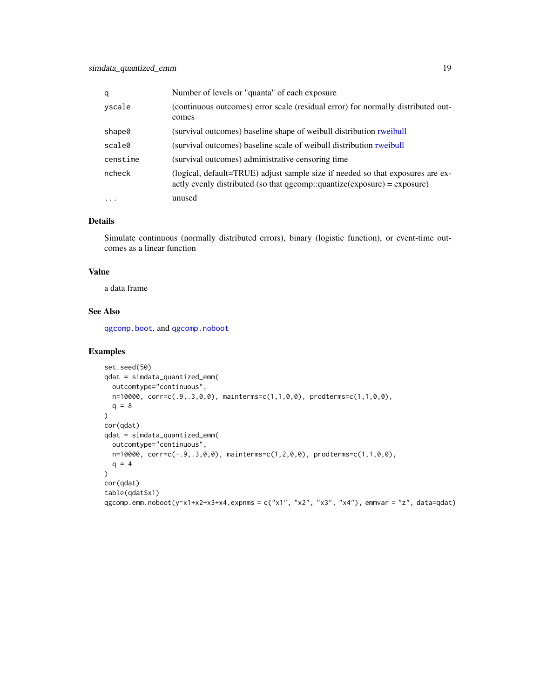<span id="page-18-0"></span>

| q        | Number of levels or "quanta" of each exposure                                                                                                                  |
|----------|----------------------------------------------------------------------------------------------------------------------------------------------------------------|
| yscale   | (continuous outcomes) error scale (residual error) for normally distributed out-<br>comes                                                                      |
| shape0   | (survival outcomes) baseline shape of weibull distribution rweibull                                                                                            |
| scale0   | (survival outcomes) baseline scale of weibull distribution rweibull                                                                                            |
| censtime | (survival outcomes) administrative censoring time                                                                                                              |
| ncheck   | (logical, default=TRUE) adjust sample size if needed so that exposures are ex-<br>actly evenly distributed (so that $qgcomp::quantize(exposure) = exposure)$ ) |
| $\cdots$ | unused                                                                                                                                                         |

#### Details

Simulate continuous (normally distributed errors), binary (logistic function), or event-time outcomes as a linear function

# Value

a data frame

# See Also

[qgcomp.boot](#page-0-0), and [qgcomp.noboot](#page-0-0)

```
set.seed(50)
qdat = simdata_quantized_emm(
  outcomtype="continuous",
  n=10000, corr=c(.9,.3,0,0), mainterms=c(1,1,0,0), prodterms=c(1,1,0,0),
  q = 8)
cor(qdat)
qdat = simdata_quantized_emm(
  outcomtype="continuous",
 n=10000, corr=c(-.9,.3,0,0), mainterms=c(1,2,0,0), prodterms=c(1,1,0,0),
  q = 4\mathcal{L}cor(qdat)
table(qdat$x1)
qgcomp.emm.noboot(y~x1+x2+x3+x4,expnms = c("x1", "x2", "x3", "x4"), emmvar = "z", data=qdat)
```